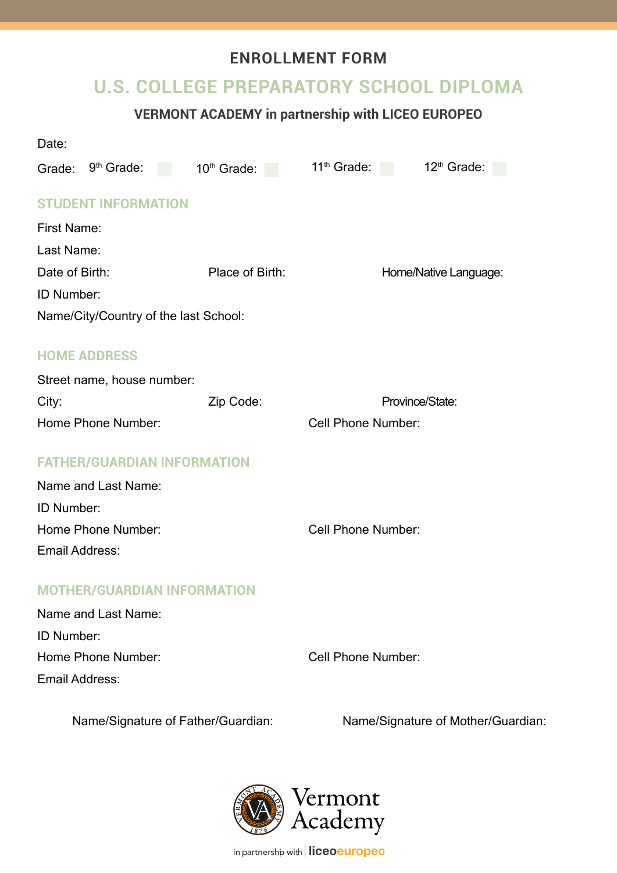# **ENROLLMENT FORM**

# **U.S. COLLEGE PREPARATORY SCHOOL DIPLOMA**

# **VERMONT ACADEMY in partnership with LICEO EUROPEO**

| Date:                                 |                                    |                 |                                    |                           |                                    |  |  |
|---------------------------------------|------------------------------------|-----------------|------------------------------------|---------------------------|------------------------------------|--|--|
| Grade:                                | 9 <sup>th</sup> Grade:             | a s             | 10 <sup>th</sup> Grade:            | 11 <sup>th</sup> Grade:   | 12 <sup>th</sup> Grade:            |  |  |
|                                       | <b>STUDENT INFORMATION</b>         |                 |                                    |                           |                                    |  |  |
| <b>First Name:</b>                    |                                    |                 |                                    |                           |                                    |  |  |
| Last Name:                            |                                    |                 |                                    |                           |                                    |  |  |
| Date of Birth:                        |                                    | Place of Birth: |                                    | Home/Native Language:     |                                    |  |  |
| <b>ID Number:</b>                     |                                    |                 |                                    |                           |                                    |  |  |
| Name/City/Country of the last School: |                                    |                 |                                    |                           |                                    |  |  |
|                                       | <b>HOME ADDRESS</b>                |                 |                                    |                           |                                    |  |  |
|                                       | Street name, house number:         |                 |                                    |                           |                                    |  |  |
| City:                                 |                                    | Zip Code:       |                                    | Province/State:           |                                    |  |  |
| Home Phone Number:                    |                                    |                 | <b>Cell Phone Number:</b>          |                           |                                    |  |  |
|                                       |                                    |                 |                                    |                           |                                    |  |  |
|                                       | <b>FATHER/GUARDIAN INFORMATION</b> |                 |                                    |                           |                                    |  |  |
| Name and Last Name:                   |                                    |                 |                                    |                           |                                    |  |  |
| ID Number:                            |                                    |                 |                                    |                           |                                    |  |  |
| Home Phone Number:                    |                                    |                 |                                    | <b>Cell Phone Number:</b> |                                    |  |  |
| <b>Email Address:</b>                 |                                    |                 |                                    |                           |                                    |  |  |
|                                       | <b>MOTHER/GUARDIAN INFORMATION</b> |                 |                                    |                           |                                    |  |  |
|                                       | Name and Last Name:                |                 |                                    |                           |                                    |  |  |
| ID Number:                            |                                    |                 |                                    |                           |                                    |  |  |
| Home Phone Number:                    |                                    |                 |                                    | <b>Cell Phone Number:</b> |                                    |  |  |
| <b>Email Address:</b>                 |                                    |                 |                                    |                           |                                    |  |  |
|                                       |                                    |                 | Name/Signature of Father/Guardian: |                           | Name/Signature of Mother/Guardian: |  |  |



in partnership with **liceoeuropeo**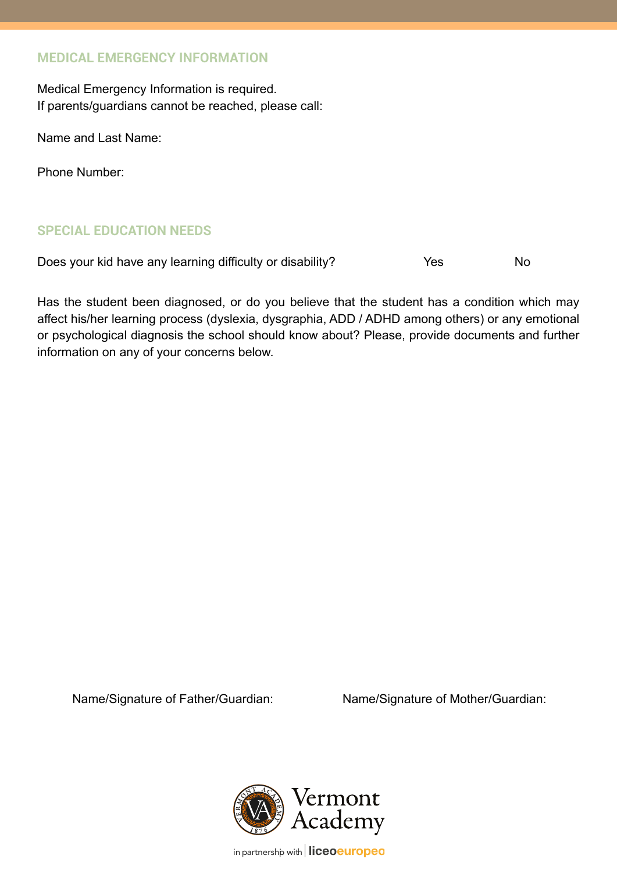### **MEDICAL EMERGENCY INFORMATION**

Medical Emergency Information is required. If parents/guardians cannot be reached, please call:

Name and Last Name:

Phone Number:

## **SPECIAL EDUCATION NEEDS**

Does your kid have any learning difficulty or disability? The Yes No

Has the student been diagnosed, or do you believe that the student has a condition which may affect his/her learning process (dyslexia, dysgraphia, ADD / ADHD among others) or any emotional or psychological diagnosis the school should know about? Please, provide documents and further information on any of your concerns below.

Name/Signature of Father/Guardian: Name/Signature of Mother/Guardian:



in partnership with | liceoeuropeo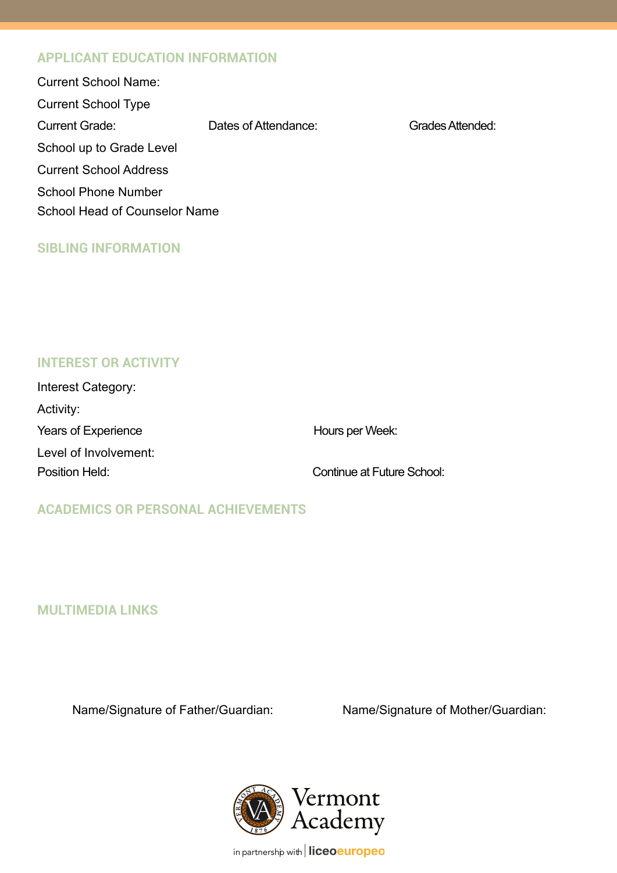### **APPLICANT EDUCATION INFORMATION**

| Dates of Attendance:                 | Grades Attended: |  |  |  |  |  |
|--------------------------------------|------------------|--|--|--|--|--|
| School up to Grade Level             |                  |  |  |  |  |  |
| <b>Current School Address</b>        |                  |  |  |  |  |  |
| <b>School Phone Number</b>           |                  |  |  |  |  |  |
| <b>School Head of Counselor Name</b> |                  |  |  |  |  |  |
|                                      |                  |  |  |  |  |  |

### **SIBLING INFORMATION**

## **INTEREST OR ACTIVITY**

| Interest Category:         |                            |
|----------------------------|----------------------------|
| Activity:                  |                            |
| <b>Years of Experience</b> | Hours per Week:            |
| Level of Involvement:      |                            |
| Position Held:             | Continue at Future School: |

## **ACADEMICS OR PERSONAL ACHIEVEMENTS**

**MULTIMEDIA LINKS**

Name/Signature of Father/Guardian: Name/Signature of Mother/Guardian:



in partnership with | liceoeuropeo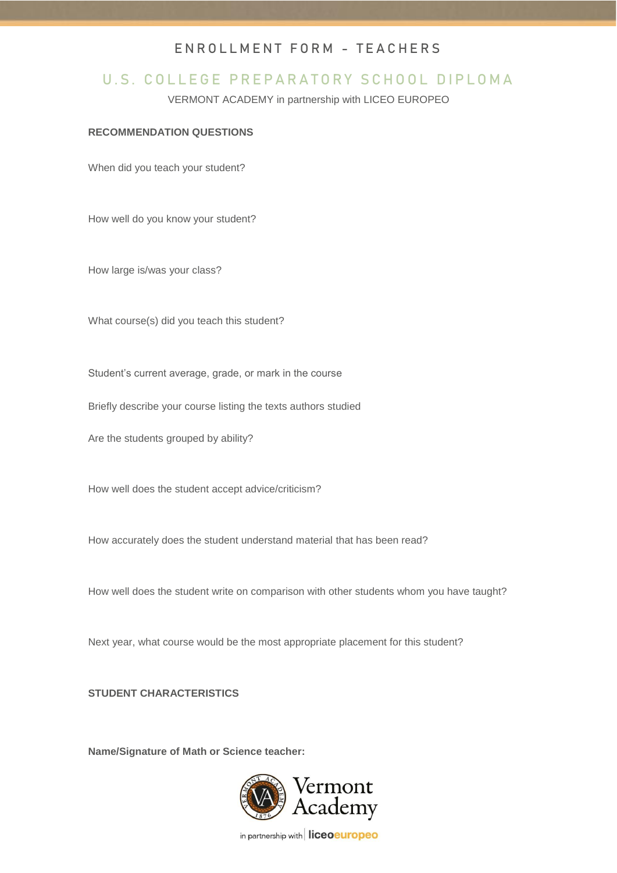#### ENROLLMENT FORM - TEACHERS

## U.S. COLLEGE PREPARATORY SCHOOL DIPLOMA

VERMONT ACADEMY in partnership with LICEO EUROPEO

#### **RECOMMENDATION QUESTIONS**

When did you teach your student?

How well do you know your student?

How large is/was your class?

What course(s) did you teach this student?

Student's current average, grade, or mark in the course

Briefly describe your course listing the texts authors studied

Are the students grouped by ability?

How well does the student accept advice/criticism?

How accurately does the student understand material that has been read?

How well does the student write on comparison with other students whom you have taught?

Next year, what course would be the most appropriate placement for this student?

#### **STUDENT CHARACTERISTICS**

**Name/Signature of Math or Science teacher:**



in partnership with liceoeuropeo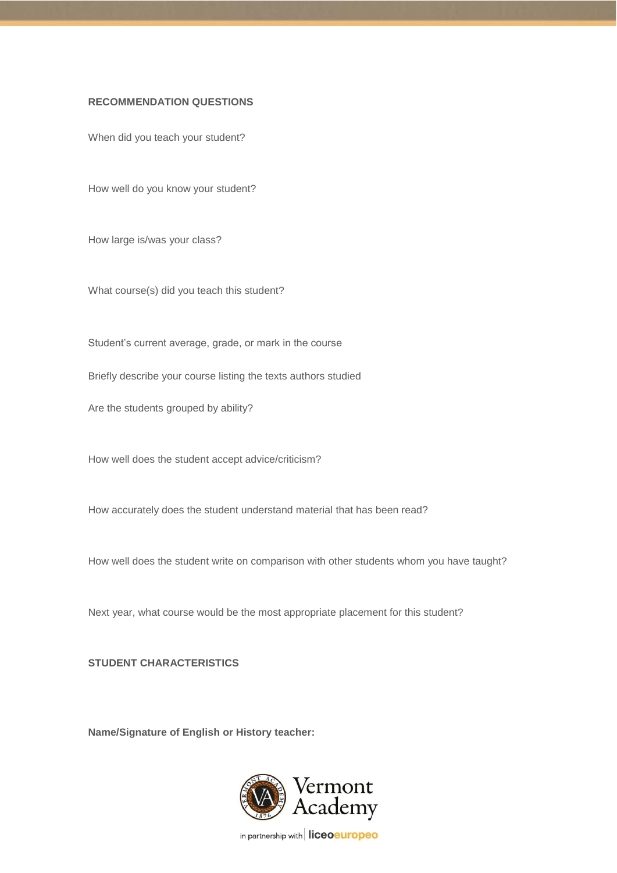#### **RECOMMENDATION QUESTIONS**

When did you teach your student?

How well do you know your student?

How large is/was your class?

What course(s) did you teach this student?

Student's current average, grade, or mark in the course

Briefly describe your course listing the texts authors studied

Are the students grouped by ability?

How well does the student accept advice/criticism?

How accurately does the student understand material that has been read?

How well does the student write on comparison with other students whom you have taught?

Next year, what course would be the most appropriate placement for this student?

**STUDENT CHARACTERISTICS**

**Name/Signature of English or History teacher:**



in partnership with liceoeuropeo